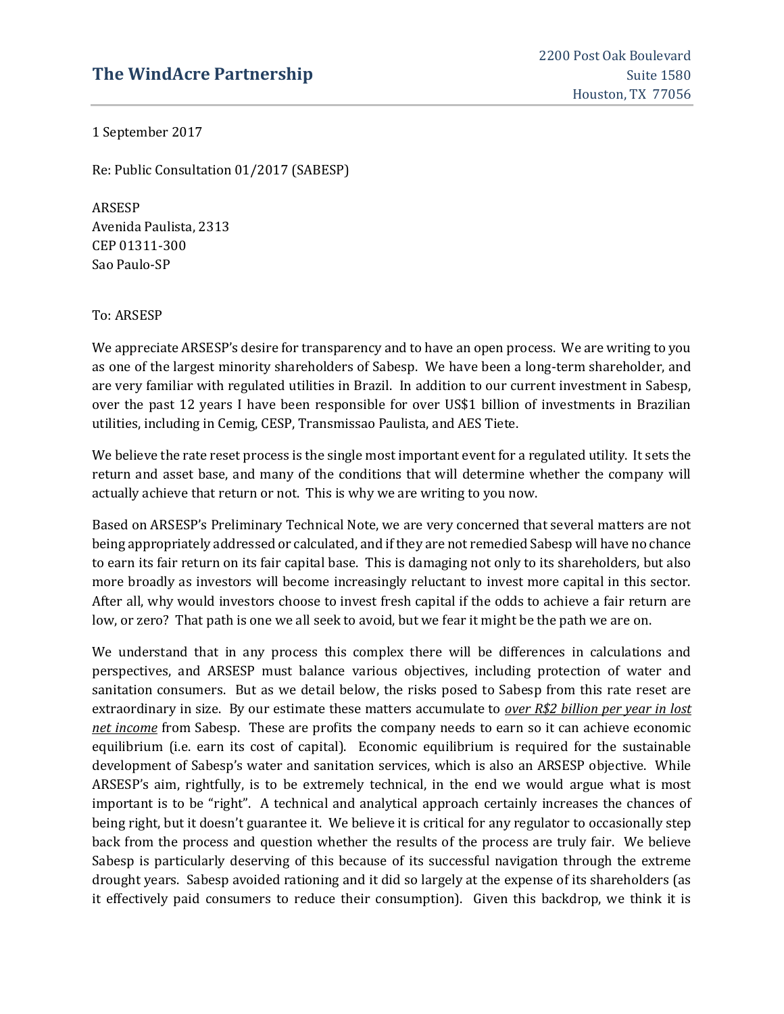# **The WindAcre Partnership** Suite 1580

1 September 2017

Re: Public Consultation 01/2017 (SABESP)

ARSESP Avenida Paulista, 2313 CEP 01311-300 Sao Paulo-SP

To: ARSESP

We appreciate ARSESP's desire for transparency and to have an open process. We are writing to you as one of the largest minority shareholders of Sabesp. We have been a long-term shareholder, and are very familiar with regulated utilities in Brazil. In addition to our current investment in Sabesp, over the past 12 years I have been responsible for over US\$1 billion of investments in Brazilian utilities, including in Cemig, CESP, Transmissao Paulista, and AES Tiete.

We believe the rate reset process is the single most important event for a regulated utility. It sets the return and asset base, and many of the conditions that will determine whether the company will actually achieve that return or not. This is why we are writing to you now.

Based on ARSESP's Preliminary Technical Note, we are very concerned that several matters are not being appropriately addressed or calculated, and if they are not remedied Sabesp will have no chance to earn its fair return on its fair capital base. This is damaging not only to its shareholders, but also more broadly as investors will become increasingly reluctant to invest more capital in this sector. After all, why would investors choose to invest fresh capital if the odds to achieve a fair return are low, or zero? That path is one we all seek to avoid, but we fear it might be the path we are on.

We understand that in any process this complex there will be differences in calculations and perspectives, and ARSESP must balance various objectives, including protection of water and sanitation consumers. But as we detail below, the risks posed to Sabesp from this rate reset are extraordinary in size. By our estimate these matters accumulate to *over R\$2 billion per year in lost net income* from Sabesp. These are profits the company needs to earn so it can achieve economic equilibrium (i.e. earn its cost of capital). Economic equilibrium is required for the sustainable development of Sabesp's water and sanitation services, which is also an ARSESP objective. While ARSESP's aim, rightfully, is to be extremely technical, in the end we would argue what is most important is to be "right". A technical and analytical approach certainly increases the chances of being right, but it doesn't guarantee it. We believe it is critical for any regulator to occasionally step back from the process and question whether the results of the process are truly fair. We believe Sabesp is particularly deserving of this because of its successful navigation through the extreme drought years. Sabesp avoided rationing and it did so largely at the expense of its shareholders (as it effectively paid consumers to reduce their consumption). Given this backdrop, we think it is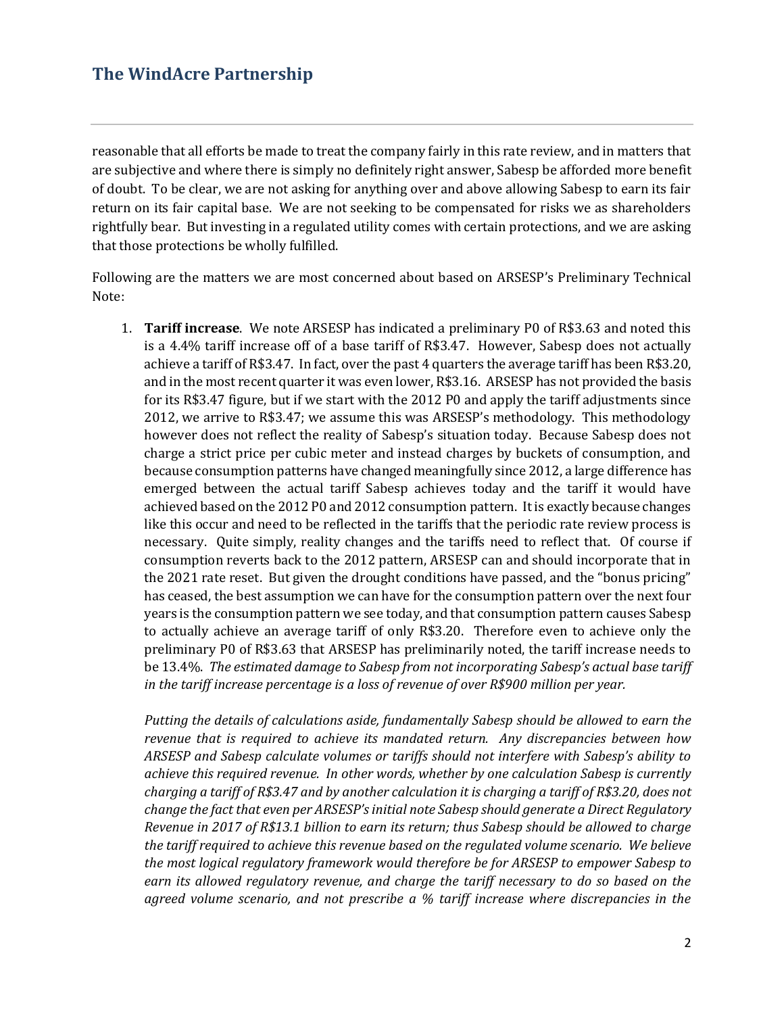reasonable that all efforts be made to treat the company fairly in this rate review, and in matters that are subjective and where there is simply no definitely right answer, Sabesp be afforded more benefit of doubt. To be clear, we are not asking for anything over and above allowing Sabesp to earn its fair return on its fair capital base. We are not seeking to be compensated for risks we as shareholders rightfully bear. But investing in a regulated utility comes with certain protections, and we are asking that those protections be wholly fulfilled.

Following are the matters we are most concerned about based on ARSESP's Preliminary Technical Note:

1. **Tariff increase**. We note ARSESP has indicated a preliminary P0 of R\$3.63 and noted this is a 4.4% tariff increase off of a base tariff of R\$3.47. However, Sabesp does not actually achieve a tariff of R\$3.47. In fact, over the past 4 quarters the average tariff has been R\$3.20, and in the most recent quarter it was even lower, R\$3.16. ARSESP has not provided the basis for its R\$3.47 figure, but if we start with the 2012 P0 and apply the tariff adjustments since 2012, we arrive to R\$3.47; we assume this was ARSESP's methodology. This methodology however does not reflect the reality of Sabesp's situation today. Because Sabesp does not charge a strict price per cubic meter and instead charges by buckets of consumption, and because consumption patterns have changed meaningfully since 2012, a large difference has emerged between the actual tariff Sabesp achieves today and the tariff it would have achieved based on the 2012 P0 and 2012 consumption pattern. It is exactly because changes like this occur and need to be reflected in the tariffs that the periodic rate review process is necessary. Quite simply, reality changes and the tariffs need to reflect that. Of course if consumption reverts back to the 2012 pattern, ARSESP can and should incorporate that in the 2021 rate reset. But given the drought conditions have passed, and the "bonus pricing" has ceased, the best assumption we can have for the consumption pattern over the next four years is the consumption pattern we see today, and that consumption pattern causes Sabesp to actually achieve an average tariff of only R\$3.20. Therefore even to achieve only the preliminary P0 of R\$3.63 that ARSESP has preliminarily noted, the tariff increase needs to be 13.4%. *The estimated damage to Sabesp from not incorporating Sabesp's actual base tariff in the tariff increase percentage is a loss of revenue of over R\$900 million per year.* 

*Putting the details of calculations aside, fundamentally Sabesp should be allowed to earn the revenue that is required to achieve its mandated return. Any discrepancies between how ARSESP and Sabesp calculate volumes or tariffs should not interfere with Sabesp's ability to achieve this required revenue. In other words, whether by one calculation Sabesp is currently charging a tariff of R\$3.47 and by another calculation it is charging a tariff of R\$3.20, does not change the fact that even per ARSESP's initial note Sabesp should generate a Direct Regulatory Revenue in 2017 of R\$13.1 billion to earn its return; thus Sabesp should be allowed to charge the tariff required to achieve this revenue based on the regulated volume scenario. We believe the most logical regulatory framework would therefore be for ARSESP to empower Sabesp to earn its allowed regulatory revenue, and charge the tariff necessary to do so based on the agreed volume scenario, and not prescribe a % tariff increase where discrepancies in the*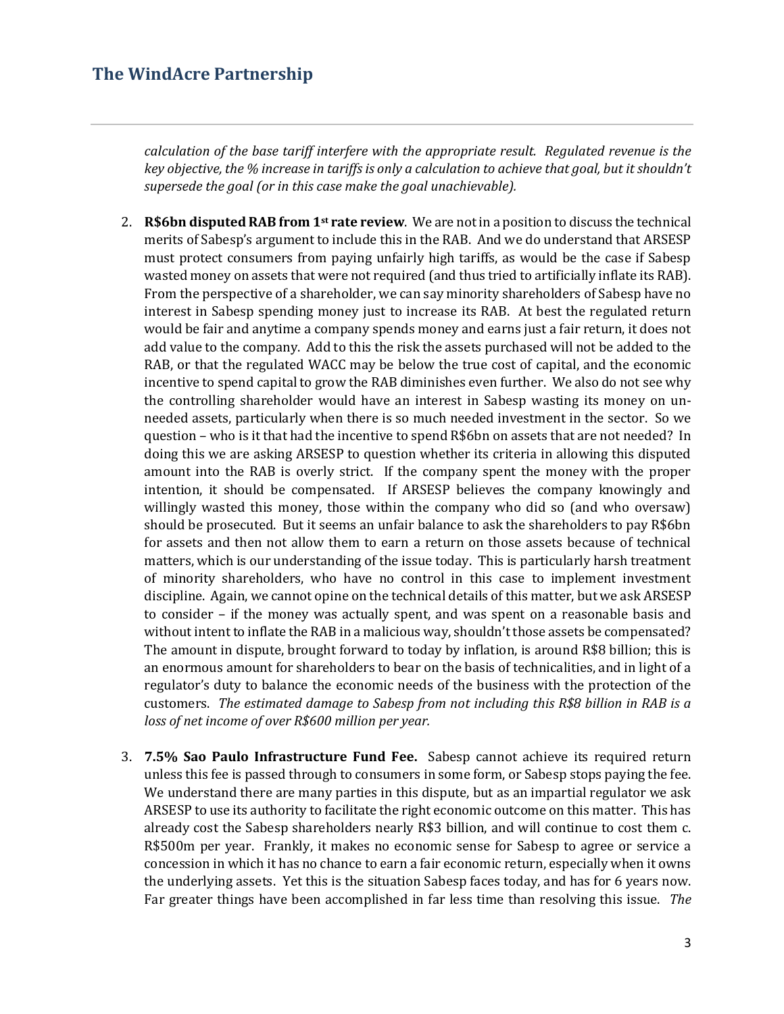*calculation of the base tariff interfere with the appropriate result. Regulated revenue is the key objective, the % increase in tariffs is only a calculation to achieve that goal, but it shouldn't supersede the goal (or in this case make the goal unachievable).* 

- 2. **R\$6bn disputed RAB from 1st rate review**. We are not in a position to discuss the technical merits of Sabesp's argument to include this in the RAB. And we do understand that ARSESP must protect consumers from paying unfairly high tariffs, as would be the case if Sabesp wasted money on assets that were not required (and thus tried to artificially inflate its RAB). From the perspective of a shareholder, we can say minority shareholders of Sabesp have no interest in Sabesp spending money just to increase its RAB. At best the regulated return would be fair and anytime a company spends money and earns just a fair return, it does not add value to the company. Add to this the risk the assets purchased will not be added to the RAB, or that the regulated WACC may be below the true cost of capital, and the economic incentive to spend capital to grow the RAB diminishes even further. We also do not see why the controlling shareholder would have an interest in Sabesp wasting its money on unneeded assets, particularly when there is so much needed investment in the sector. So we question – who is it that had the incentive to spend R\$6bn on assets that are not needed? In doing this we are asking ARSESP to question whether its criteria in allowing this disputed amount into the RAB is overly strict. If the company spent the money with the proper intention, it should be compensated. If ARSESP believes the company knowingly and willingly wasted this money, those within the company who did so (and who oversaw) should be prosecuted. But it seems an unfair balance to ask the shareholders to pay R\$6bn for assets and then not allow them to earn a return on those assets because of technical matters, which is our understanding of the issue today. This is particularly harsh treatment of minority shareholders, who have no control in this case to implement investment discipline. Again, we cannot opine on the technical details of this matter, but we ask ARSESP to consider – if the money was actually spent, and was spent on a reasonable basis and without intent to inflate the RAB in a malicious way, shouldn't those assets be compensated? The amount in dispute, brought forward to today by inflation, is around R\$8 billion; this is an enormous amount for shareholders to bear on the basis of technicalities, and in light of a regulator's duty to balance the economic needs of the business with the protection of the customers. *The estimated damage to Sabesp from not including this R\$8 billion in RAB is a loss of net income of over R\$600 million per year.*
- 3. **7.5% Sao Paulo Infrastructure Fund Fee.** Sabesp cannot achieve its required return unless this fee is passed through to consumers in some form, or Sabesp stops paying the fee. We understand there are many parties in this dispute, but as an impartial regulator we ask ARSESP to use its authority to facilitate the right economic outcome on this matter. This has already cost the Sabesp shareholders nearly R\$3 billion, and will continue to cost them c. R\$500m per year. Frankly, it makes no economic sense for Sabesp to agree or service a concession in which it has no chance to earn a fair economic return, especially when it owns the underlying assets. Yet this is the situation Sabesp faces today, and has for 6 years now. Far greater things have been accomplished in far less time than resolving this issue. *The*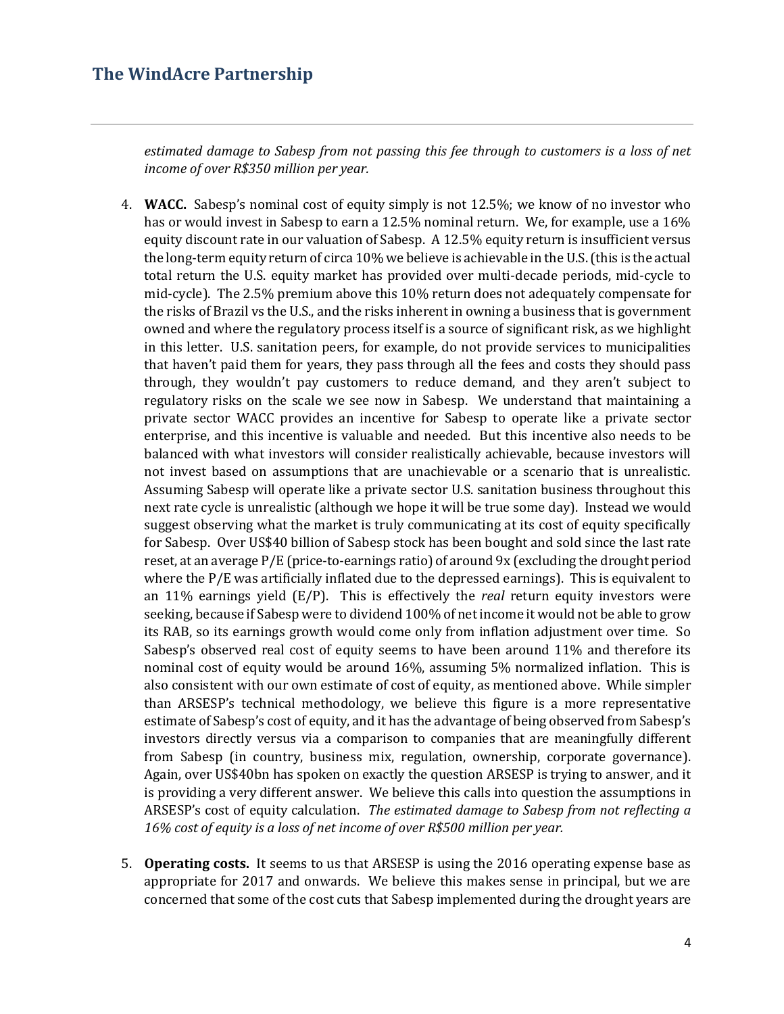*estimated damage to Sabesp from not passing this fee through to customers is a loss of net income of over R\$350 million per year.* 

- 4. **WACC.** Sabesp's nominal cost of equity simply is not 12.5%; we know of no investor who has or would invest in Sabesp to earn a 12.5% nominal return. We, for example, use a 16% equity discount rate in our valuation of Sabesp. A 12.5% equity return is insufficient versus the long-term equity return of circa 10% we believe is achievable in the U.S. (this is the actual total return the U.S. equity market has provided over multi-decade periods, mid-cycle to mid-cycle). The 2.5% premium above this 10% return does not adequately compensate for the risks of Brazil vs the U.S., and the risks inherent in owning a business that is government owned and where the regulatory process itself is a source of significant risk, as we highlight in this letter. U.S. sanitation peers, for example, do not provide services to municipalities that haven't paid them for years, they pass through all the fees and costs they should pass through, they wouldn't pay customers to reduce demand, and they aren't subject to regulatory risks on the scale we see now in Sabesp. We understand that maintaining a private sector WACC provides an incentive for Sabesp to operate like a private sector enterprise, and this incentive is valuable and needed. But this incentive also needs to be balanced with what investors will consider realistically achievable, because investors will not invest based on assumptions that are unachievable or a scenario that is unrealistic. Assuming Sabesp will operate like a private sector U.S. sanitation business throughout this next rate cycle is unrealistic (although we hope it will be true some day). Instead we would suggest observing what the market is truly communicating at its cost of equity specifically for Sabesp. Over US\$40 billion of Sabesp stock has been bought and sold since the last rate reset, at an average P/E (price-to-earnings ratio) of around 9x (excluding the drought period where the P/E was artificially inflated due to the depressed earnings). This is equivalent to an 11% earnings yield (E/P). This is effectively the *real* return equity investors were seeking, because if Sabesp were to dividend 100% of net income it would not be able to grow its RAB, so its earnings growth would come only from inflation adjustment over time. So Sabesp's observed real cost of equity seems to have been around 11% and therefore its nominal cost of equity would be around 16%, assuming 5% normalized inflation. This is also consistent with our own estimate of cost of equity, as mentioned above. While simpler than ARSESP's technical methodology, we believe this figure is a more representative estimate of Sabesp's cost of equity, and it has the advantage of being observed from Sabesp's investors directly versus via a comparison to companies that are meaningfully different from Sabesp (in country, business mix, regulation, ownership, corporate governance). Again, over US\$40bn has spoken on exactly the question ARSESP is trying to answer, and it is providing a very different answer. We believe this calls into question the assumptions in ARSESP's cost of equity calculation. *The estimated damage to Sabesp from not reflecting a 16% cost of equity is a loss of net income of over R\$500 million per year.*
- 5. **Operating costs.** It seems to us that ARSESP is using the 2016 operating expense base as appropriate for 2017 and onwards. We believe this makes sense in principal, but we are concerned that some of the cost cuts that Sabesp implemented during the drought years are